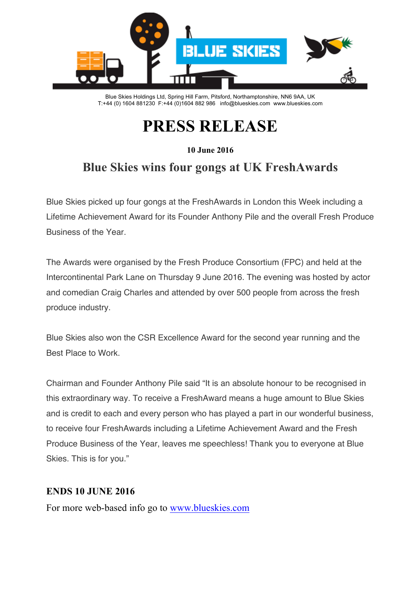

Blue Skies Holdings Ltd, Spring Hill Farm, Pitsford, Northamptonshire, NN6 9AA, UK T:+44 (0) 1604 881230 F:+44 (0)1604 882 986 info@blueskies.com www.blueskies.com

# **PRESS RELEASE**

**10 June 2016**

# **Blue Skies wins four gongs at UK FreshAwards**

Blue Skies picked up four gongs at the FreshAwards in London this Week including a Lifetime Achievement Award for its Founder Anthony Pile and the overall Fresh Produce Business of the Year.

The Awards were organised by the Fresh Produce Consortium (FPC) and held at the Intercontinental Park Lane on Thursday 9 June 2016. The evening was hosted by actor and comedian Craig Charles and attended by over 500 people from across the fresh produce industry.

Blue Skies also won the CSR Excellence Award for the second year running and the Best Place to Work.

Chairman and Founder Anthony Pile said "It is an absolute honour to be recognised in this extraordinary way. To receive a FreshAward means a huge amount to Blue Skies and is credit to each and every person who has played a part in our wonderful business, to receive four FreshAwards including a Lifetime Achievement Award and the Fresh Produce Business of the Year, leaves me speechless! Thank you to everyone at Blue Skies. This is for you."

### **ENDS 10 JUNE 2016**

For more web-based info go to www.blueskies.com